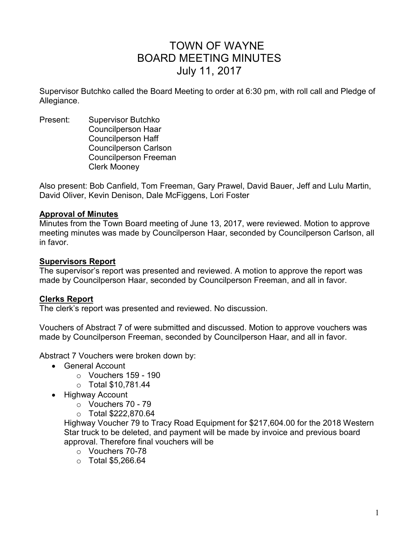# TOWN OF WAYNE BOARD MEETING MINUTES July 11, 2017

Supervisor Butchko called the Board Meeting to order at 6:30 pm, with roll call and Pledge of Allegiance.

Present: Supervisor Butchko Councilperson Haar Councilperson Haff Councilperson Carlson Councilperson Freeman Clerk Mooney

Also present: Bob Canfield, Tom Freeman, Gary Prawel, David Bauer, Jeff and Lulu Martin, David Oliver, Kevin Denison, Dale McFiggens, Lori Foster

## **Approval of Minutes**

Minutes from the Town Board meeting of June 13, 2017, were reviewed. Motion to approve meeting minutes was made by Councilperson Haar, seconded by Councilperson Carlson, all in favor.

## **Supervisors Report**

The supervisor's report was presented and reviewed. A motion to approve the report was made by Councilperson Haar, seconded by Councilperson Freeman, and all in favor.

# **Clerks Report**

The clerk's report was presented and reviewed. No discussion.

Vouchers of Abstract 7 of were submitted and discussed. Motion to approve vouchers was made by Councilperson Freeman, seconded by Councilperson Haar, and all in favor.

Abstract 7 Vouchers were broken down by:

- General Account
	- $\circ$  Vouchers 159 190
	- o Total \$10,781.44
- Highway Account
	- $\circ$  Vouchers 70 79
	- o Total \$222,870.64

Highway Voucher 79 to Tracy Road Equipment for \$217,604.00 for the 2018 Western Star truck to be deleted, and payment will be made by invoice and previous board approval. Therefore final vouchers will be

- o Vouchers 70-78
- $\circ$  Total \$5,266.64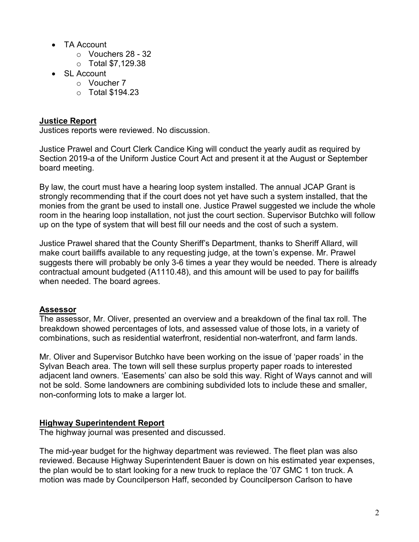- TA Account
	- o Vouchers 28 32
	- o Total \$7,129.38
- SL Account
	- o Voucher 7
	- $\circ$  Total \$194.23

# **Justice Report**

Justices reports were reviewed. No discussion.

Justice Prawel and Court Clerk Candice King will conduct the yearly audit as required by Section 2019-a of the Uniform Justice Court Act and present it at the August or September board meeting.

By law, the court must have a hearing loop system installed. The annual JCAP Grant is strongly recommending that if the court does not yet have such a system installed, that the monies from the grant be used to install one. Justice Prawel suggested we include the whole room in the hearing loop installation, not just the court section. Supervisor Butchko will follow up on the type of system that will best fill our needs and the cost of such a system.

Justice Prawel shared that the County Sheriff's Department, thanks to Sheriff Allard, will make court bailiffs available to any requesting judge, at the town's expense. Mr. Prawel suggests there will probably be only 3-6 times a year they would be needed. There is already contractual amount budgeted (A1110.48), and this amount will be used to pay for bailiffs when needed. The board agrees.

# **Assessor**

The assessor, Mr. Oliver, presented an overview and a breakdown of the final tax roll. The breakdown showed percentages of lots, and assessed value of those lots, in a variety of combinations, such as residential waterfront, residential non-waterfront, and farm lands.

Mr. Oliver and Supervisor Butchko have been working on the issue of 'paper roads' in the Sylvan Beach area. The town will sell these surplus property paper roads to interested adjacent land owners. 'Easements' can also be sold this way. Right of Ways cannot and will not be sold. Some landowners are combining subdivided lots to include these and smaller, non-conforming lots to make a larger lot.

# **Highway Superintendent Report**

The highway journal was presented and discussed.

The mid-year budget for the highway department was reviewed. The fleet plan was also reviewed. Because Highway Superintendent Bauer is down on his estimated year expenses, the plan would be to start looking for a new truck to replace the '07 GMC 1 ton truck. A motion was made by Councilperson Haff, seconded by Councilperson Carlson to have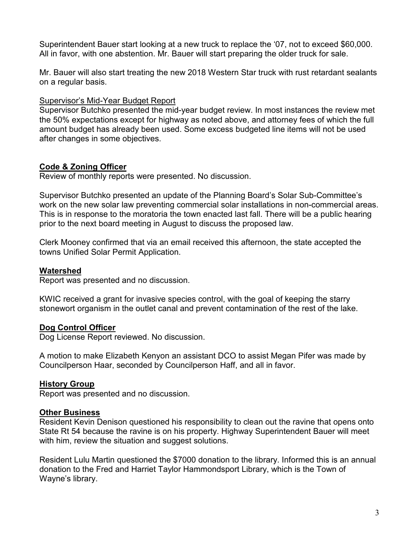Superintendent Bauer start looking at a new truck to replace the '07, not to exceed \$60,000. All in favor, with one abstention. Mr. Bauer will start preparing the older truck for sale.

Mr. Bauer will also start treating the new 2018 Western Star truck with rust retardant sealants on a regular basis.

## Supervisor's Mid-Year Budget Report

Supervisor Butchko presented the mid-year budget review. In most instances the review met the 50% expectations except for highway as noted above, and attorney fees of which the full amount budget has already been used. Some excess budgeted line items will not be used after changes in some objectives.

# **Code & Zoning Officer**

Review of monthly reports were presented. No discussion.

Supervisor Butchko presented an update of the Planning Board's Solar Sub-Committee's work on the new solar law preventing commercial solar installations in non-commercial areas. This is in response to the moratoria the town enacted last fall. There will be a public hearing prior to the next board meeting in August to discuss the proposed law.

Clerk Mooney confirmed that via an email received this afternoon, the state accepted the towns Unified Solar Permit Application.

## **Watershed**

Report was presented and no discussion.

KWIC received a grant for invasive species control, with the goal of keeping the starry stonewort organism in the outlet canal and prevent contamination of the rest of the lake.

## **Dog Control Officer**

Dog License Report reviewed. No discussion.

A motion to make Elizabeth Kenyon an assistant DCO to assist Megan Pifer was made by Councilperson Haar, seconded by Councilperson Haff, and all in favor.

## **History Group**

Report was presented and no discussion.

## **Other Business**

Resident Kevin Denison questioned his responsibility to clean out the ravine that opens onto State Rt 54 because the ravine is on his property. Highway Superintendent Bauer will meet with him, review the situation and suggest solutions.

Resident Lulu Martin questioned the \$7000 donation to the library. Informed this is an annual donation to the Fred and Harriet Taylor Hammondsport Library, which is the Town of Wayne's library.